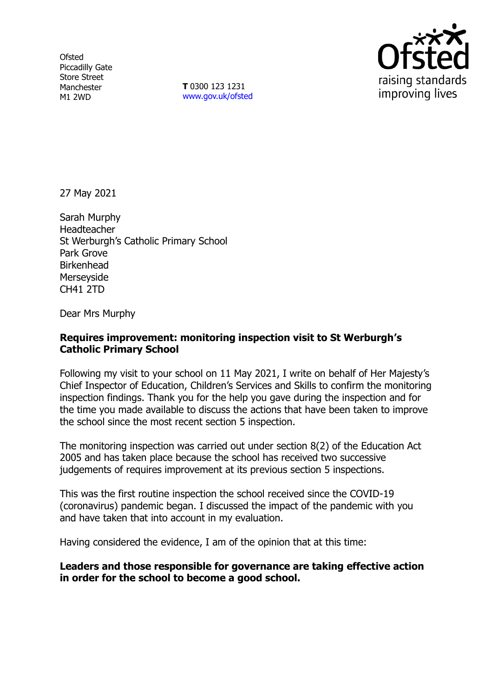**Ofsted** Piccadilly Gate Store Street Manchester M1 2WD

**T** 0300 123 1231 [www.gov.uk/ofsted](http://www.gov.uk/ofsted)



27 May 2021

Sarah Murphy Headteacher St Werburgh's Catholic Primary School Park Grove Birkenhead Merseyside CH41 2TD

Dear Mrs Murphy

## **Requires improvement: monitoring inspection visit to St Werburgh's Catholic Primary School**

Following my visit to your school on 11 May 2021, I write on behalf of Her Majesty's Chief Inspector of Education, Children's Services and Skills to confirm the monitoring inspection findings. Thank you for the help you gave during the inspection and for the time you made available to discuss the actions that have been taken to improve the school since the most recent section 5 inspection.

The monitoring inspection was carried out under section 8(2) of the Education Act 2005 and has taken place because the school has received two successive judgements of requires improvement at its previous section 5 inspections.

This was the first routine inspection the school received since the COVID-19 (coronavirus) pandemic began. I discussed the impact of the pandemic with you and have taken that into account in my evaluation.

Having considered the evidence, I am of the opinion that at this time:

**Leaders and those responsible for governance are taking effective action in order for the school to become a good school.**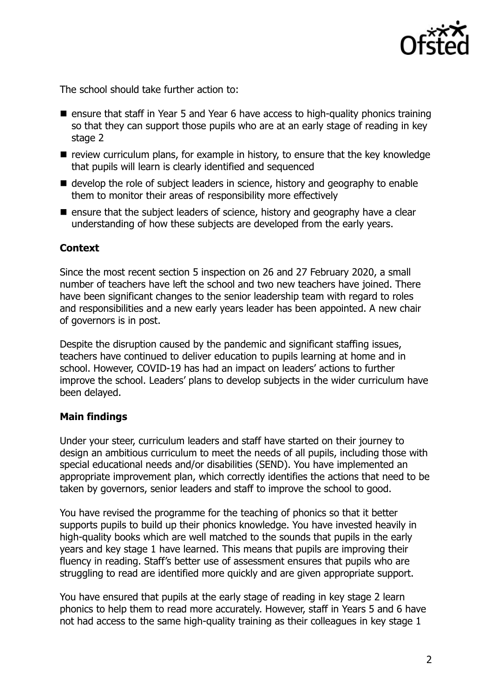

The school should take further action to:

- ensure that staff in Year 5 and Year 6 have access to high-quality phonics training so that they can support those pupils who are at an early stage of reading in key stage 2
- $\blacksquare$  review curriculum plans, for example in history, to ensure that the key knowledge that pupils will learn is clearly identified and sequenced
- develop the role of subject leaders in science, history and geography to enable them to monitor their areas of responsibility more effectively
- $\blacksquare$  ensure that the subject leaders of science, history and geography have a clear understanding of how these subjects are developed from the early years.

# **Context**

Since the most recent section 5 inspection on 26 and 27 February 2020, a small number of teachers have left the school and two new teachers have joined. There have been significant changes to the senior leadership team with regard to roles and responsibilities and a new early years leader has been appointed. A new chair of governors is in post.

Despite the disruption caused by the pandemic and significant staffing issues, teachers have continued to deliver education to pupils learning at home and in school. However, COVID-19 has had an impact on leaders' actions to further improve the school. Leaders' plans to develop subjects in the wider curriculum have been delayed.

## **Main findings**

Under your steer, curriculum leaders and staff have started on their journey to design an ambitious curriculum to meet the needs of all pupils, including those with special educational needs and/or disabilities (SEND). You have implemented an appropriate improvement plan, which correctly identifies the actions that need to be taken by governors, senior leaders and staff to improve the school to good.

You have revised the programme for the teaching of phonics so that it better supports pupils to build up their phonics knowledge. You have invested heavily in high-quality books which are well matched to the sounds that pupils in the early years and key stage 1 have learned. This means that pupils are improving their fluency in reading. Staff's better use of assessment ensures that pupils who are struggling to read are identified more quickly and are given appropriate support.

You have ensured that pupils at the early stage of reading in key stage 2 learn phonics to help them to read more accurately. However, staff in Years 5 and 6 have not had access to the same high-quality training as their colleagues in key stage 1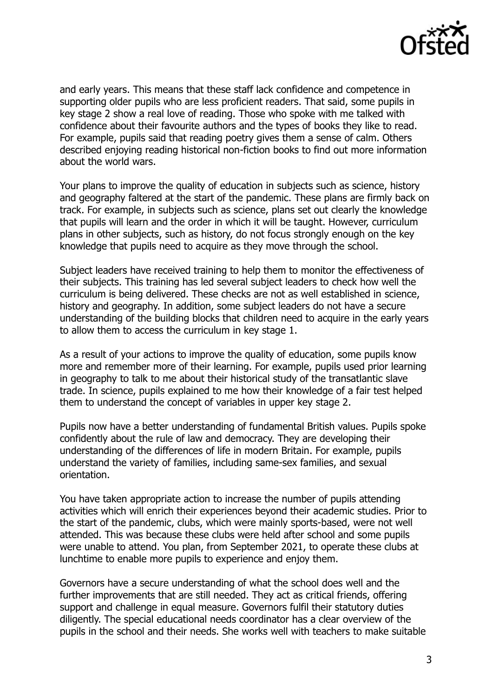

and early years. This means that these staff lack confidence and competence in supporting older pupils who are less proficient readers. That said, some pupils in key stage 2 show a real love of reading. Those who spoke with me talked with confidence about their favourite authors and the types of books they like to read. For example, pupils said that reading poetry gives them a sense of calm. Others described enjoying reading historical non-fiction books to find out more information about the world wars.

Your plans to improve the quality of education in subjects such as science, history and geography faltered at the start of the pandemic. These plans are firmly back on track. For example, in subjects such as science, plans set out clearly the knowledge that pupils will learn and the order in which it will be taught. However, curriculum plans in other subjects, such as history, do not focus strongly enough on the key knowledge that pupils need to acquire as they move through the school.

Subject leaders have received training to help them to monitor the effectiveness of their subjects. This training has led several subject leaders to check how well the curriculum is being delivered. These checks are not as well established in science, history and geography. In addition, some subject leaders do not have a secure understanding of the building blocks that children need to acquire in the early years to allow them to access the curriculum in key stage 1.

As a result of your actions to improve the quality of education, some pupils know more and remember more of their learning. For example, pupils used prior learning in geography to talk to me about their historical study of the transatlantic slave trade. In science, pupils explained to me how their knowledge of a fair test helped them to understand the concept of variables in upper key stage 2.

Pupils now have a better understanding of fundamental British values. Pupils spoke confidently about the rule of law and democracy. They are developing their understanding of the differences of life in modern Britain. For example, pupils understand the variety of families, including same-sex families, and sexual orientation.

You have taken appropriate action to increase the number of pupils attending activities which will enrich their experiences beyond their academic studies. Prior to the start of the pandemic, clubs, which were mainly sports-based, were not well attended. This was because these clubs were held after school and some pupils were unable to attend. You plan, from September 2021, to operate these clubs at lunchtime to enable more pupils to experience and enjoy them.

Governors have a secure understanding of what the school does well and the further improvements that are still needed. They act as critical friends, offering support and challenge in equal measure. Governors fulfil their statutory duties diligently. The special educational needs coordinator has a clear overview of the pupils in the school and their needs. She works well with teachers to make suitable